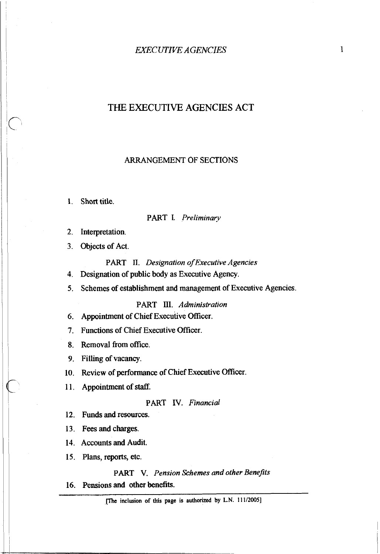# THE EXECUTIVE AGENCIES ACT

#### ARRANGEMENT OF SECTIONS

Short title.

#### PART L *Preliminary*

- 2. Interpretation.
- Objects of Act.
	- PART **II.** *Designation of Executive Agencies*
- Designation of public body as Executive Agency.
- 5. Schemes of establishment and management of Executive Agencies.

PART 111. *Administration* 

- 6. Appointment of Chief Executive Officer.
- 7. Functions of Chief Executive Officer.
- 8. Removal from office.
- 9. Filling of vacancy.
- 10. Review of performance of Chief Executive Officer.
- 11. Appointment of staff.

PART IV. *Financial* 

12. Funds and resources.

- 13. Fees and charges.
- 14. Accounts and Audit.
- 15. Plans, reports, etc.

PART V. *Pension Schemes and other Benejits* 

16. Pensions and other benefits.

**me inclusion of this page is authorized by L.N. 11 1/2005]**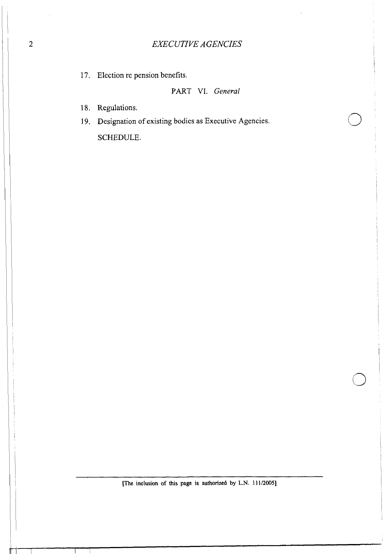17. Election re pension benefits.

# PART VI. General

18. Regulations.

19. Designation of existing bodies as Executive Agencies.

**SCHEDULE.**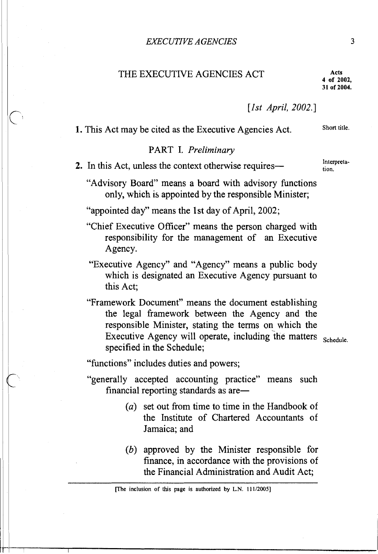# THE EXECUTIVE AGENCIES ACT **Acts** Acts 4 of 2002.

**31 of 2004.** 

*[Ist April,* 2002.1

**1.** This Act may be cited as the Executive Agencies Act. Short title.

#### PART I. *Preliminary*

**2.** In this Act, unless the context otherwise requirestion.

"Advisory Board" means a board with advisory functions only, which is appointed by the responsible Minister;

"appointed day" means the 1st day of April, 2002;

"Chief Executive Officer" means the person charged with responsibility for the management of an Executive Agency.

"Executive Agency" and "Agency" means a public body which is designated an Executive Agency pursuant to this Act;

"Framework Document" means the document establishing the legal framework between the Agency and the responsible Minister, stating the terms on which the Executive Agency will operate, including the matters  $_{\text{Scheduling}}$ specified in the Schedule;

"functions" includes duties and powers;

"generally accepted accounting practice" means such financial reporting standards as are-

- *(a)* set out from time to time in the Handbook of the Institute of Chartered Accountants of Jamaica; and
- (b) approved by the Minister responsible for finance, in accordance with the provisions of the Financial Administration and Audit Act;

<sup>[</sup>The inclusion of this page is authorized by L.N. 11 **1/2005]**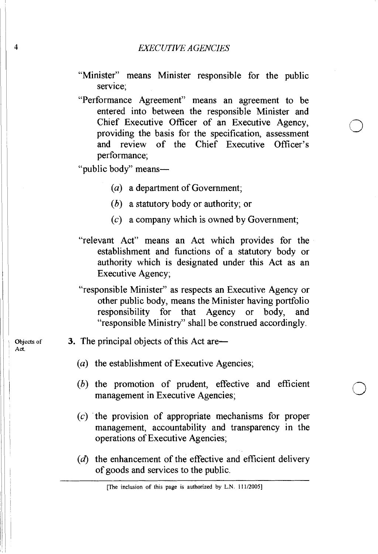- "Minister" means Minister responsible for the public service;
- "Performance Agreement" means an agreement to be entered into between the responsible Minister and Chief Executive Officer of an Executive Agency, providing the basis for the specification, assessment and review of the Chief Executive Officer's performance;

"public body" means-

- *(a)* a department of Government;
- *(b)* a statutory body or authority; or
- *(c)* a company which is owned by Government;
- "relevant Act" means an Act which provides for the establishment and fimctions of a statutory body or authority which is designated under this Act as an Executive Agency;
- "responsible Minister" as respects an Executive Agency or other public body, means the Minister having portfolio responsibility for that Agency or body, and "responsible Ministry" shall be construed accordingly.
- 3. The principal objects of this Act **are-** 
	- *(a)* the establishment of Executive Agencies;
	- *(b)* the promotion of prudent, effective and efficient management in Executive Agencies;
	- *(c)* the provision of appropriate mechanisms for proper management, accountability and transparency in the operations of Executive Agencies;
	- (d) the enhancement of the effective and efficient delivery of goods and services to the public.

Objects **of**  Act.

**4** 

<sup>[</sup>The **inclusion of this page is authorized by L.N. 111/2005]**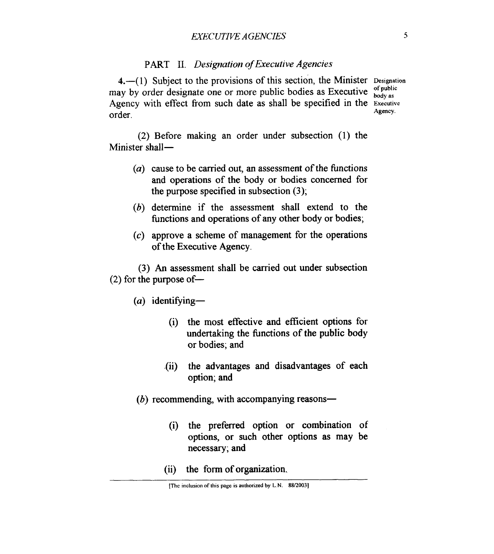# PART **11.** *Designation of Executive Agencies*

**4.-(** 1) Subject to the provisions of this section, the Minister **Designation**  may by order designate one or more public bodies as Executive  $\frac{d}{d}$  public Agency with effect from such date as shall be specified in the **Executive**  order. **Agency**.

(2) Before making an order under subsection (1) the Minister shall-

- ( $a$ ) cause to be carried out, an assessment of the functions and operations of the body or bodies concerned for the purpose specified in subsection (3);
- (b) determine if the assessment shall extend to the functions and operations of any other body or bodies;
- (c) approve a scheme of management for the operations of the Executive Agency.

(3) *An* assessment shall be carried out under subsection  $(2)$  for the purpose of  $-$ 

(a) identifying-

- (i) the most effective and efficient options for undertaking the functions of the public body or bodies; and
- .(ii) the advantages and disadvantages of each option; and
- $(b)$  recommending, with accompanying reasons-
	- (i) the preferred option or combination of options, or such other options as may be necessary; and
	- (ii) the form of organization.

**<sup>[</sup>The iiiclusioii of this page is authorized by L.N. 88/2003]**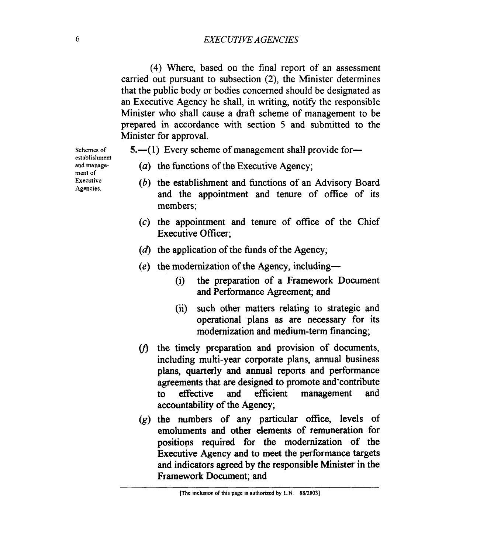# **6** *EXECUTIVE AGENCIES*

**(4)** Where, based on the final report of an assessment carried out pursuant to subsection **(2),** the Minister determines that the public body or bodies concerned should be designated as an Executive Agency he shall, in writing, notify the responsible Minister who shall cause a draft scheme of management to be prepared in accordance with section 5 and submitted to the Minister for approval.

**Schemes of and manage-Executive establishment**  ment **of Agencies.** 

- **5.**—(1) Every scheme of management shall provide for—
	- (a) the functions of the Executive Agency;
	- (b) the establishment and functions of an Advisory Board and the appointment and tenure of ofice of its members;
	- (c) the appointment and tenure of office of the Chief Executive Officer;
	- $(d)$  the application of the funds of the Agency;
	- **(e)** the modernization of the Agency, including-
		- (i) the preparation of a Framework Document and Performance Agreement; and
		- (ii) such other matters relating to strategic and operational plans as are necessary for its modernization and medium-term financing;
	- $v(t)$  the timely preparation and provision of documents, including multi-year corporate plans, annual business plans, quarterly and **annual** reports and performance agreements that are designed to promote and'contribute to effective and efficient management and accountability of the Agency;
	- $(g)$  the numbers of any particular office, levels of emoluments and other elements of remuneration for positions required for the modernization of the Executive Agency and to meet the performance targets and indicators **agreed** by the responsible Minister in the Framework Document; and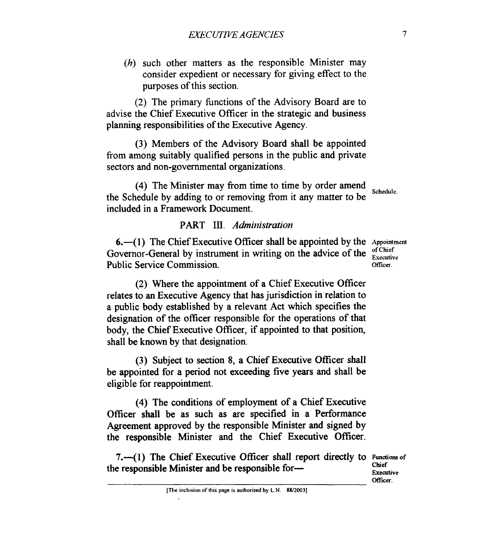(h) such other matters as the responsible Minister may consider expedient or necessary for giving effect to the purposes of this section.

(2) The primary hnctions of the Advisory Board are to advise the Chief Executive Officer in the strategic and business planning responsibilities of the Executive Agency.

(3) Members of the Advisory Board shall be appointed fiom among suitably qualified persons in the public and private sectors and non-governmental organizations.

**(4)** The Minister may fiom time to time by order amend the Schedule by adding to or removing fiom it any matter to be included in a Framework Document. **Schedule.** 

# PART III. Administration

**6.**-(1) The Chief Executive Officer shall be appointed by the  $\Delta p_{\text{pointment}}$ Governor-General by instrument in writing on the advice of the **Executive** Public Service Commission. **Officer.** Officer.

(2) Where the appointment of a Chief Executive Officer relates to an Executive Agency that has jurisdiction in relation to a public body established by a relevant Act which specifies the designation of the officer responsible for the operations of that body, the Chief Executive Officer, if appointed to that position, shall be known by that designation.

(3) Subject to section 8, a Chief Executive Officer shall be appointed for a period not exceeding five years and shall be eligible for reappointment.

**(4)** The conditions of employment of a Chief Executive Officer shall be as such as are specified in a Performance Agreement approved by the responsible Minister and signed by the responsible Minister and the Chief Executive Officer.

**7.**—(1) The Chief Executive Officer shall report directly to **Functions** of the responsible Minister and be responsible for-

**Chief Executive**  Officer.

**[The inclusion of this page is authorized by L.N. 88/2003]**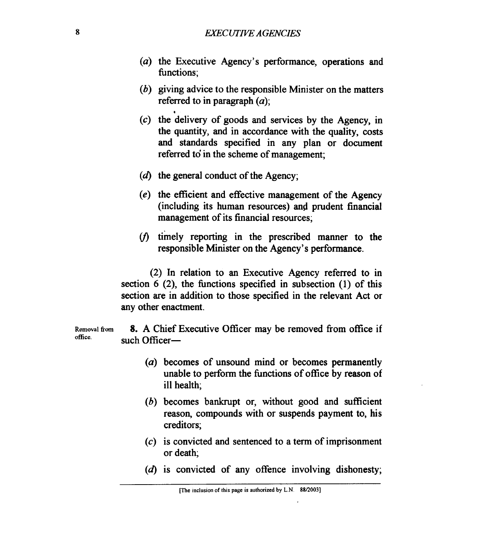- $(a)$  the Executive Agency's performance, operations and functions;
- $(b)$  giving advice to the responsible Minister on the matters referred to in paragraph *(a);*
- $(c)$  the delivery of goods and services by the Agency, in the quantity, and in accordance with the quality, costs and standards specified in any plan or document referred to' in the scheme of management;
- $(d)$  the general conduct of the Agency;
- $(e)$  the efficient and effective management of the Agency (including its human resources) and prudent financial management of its financial resources;
- $(t)$  timely reporting in the prescribed manner to the responsible Minister on the Agency's performance.

(2) In relation to an Executive Agency referred to in section 6 (2), the functions specified in subsection (1) of this section are in addition to those specified in the relevant Act or any other enactment.

Removal from **8.** A Chief Executive Officer may be removed from office if such Officer-

- *(a)* becomes of unsound mind or becomes permanently unable to perform the functions of office by reason of ill health;
- (b) becomes bankrupt or, without good and sufficient reason, compounds with or suspends payment to, his creditors;
- (c) is convicted and sentenced to a term of imprisonment or death;
- $(d)$  is convicted of any offence involving dishonesty;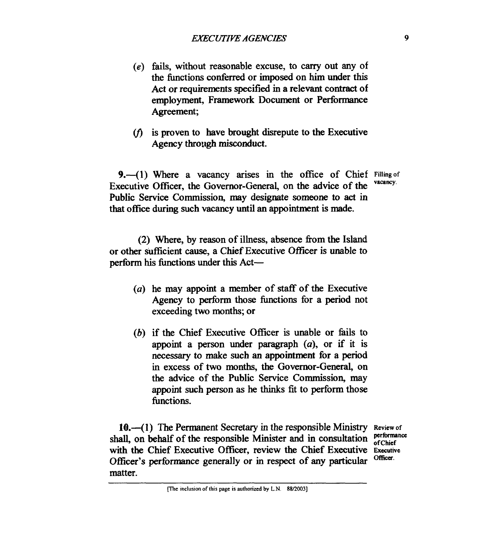- **(e)** fails, without reasonable excuse, to carry out any of the functions coderred or imposed on **him** under this Act or requirements specified in a relevant contract of employment, Framework Document or Performance Agreement;
- $(f)$  is proven to have brought disrepute to the Executive Agency through misconduct.

**9.-(1)** Where a vacancy **arises in** the office of Chief **Fillingof**  Executive Officer, the Governor-General, on the advice of the Public *Service* Commission, may designate someone to **act** in that office during such vacancy until an appointment is made.

(2) Where, by reason of illness, absence from the Island or other sufficient cause, a Chief Executive Officer is unable to perform his functions under this Act-

- (a) he may appoint a member of staff of the Executive Agency to perform those functions for a period not exceeding two months; or
- (b) if the Chief Executive Officer is unable or fails to appoint a person under paragraph  $(a)$ , or if it is necessary to make such an appointment for a period in excess of two months, the Governor-General, on the advice of the Public Service Commission, may appoint such person as he **thinks** fit to perform those functions.

10.-(1) The Permanent Secretary in the responsible Ministry Review of  $\text{real}$  an habel of the responsible Minister and in consultation performance shall, on behalf of the responsible Minister and in consultation  $_{\rm{of Chief}}^{\rm{perform}}$ with **the** Chief Executive Officer, review the Chief Executive **Executive**  Officer's performance generally or in respect of any particular matter. Officer.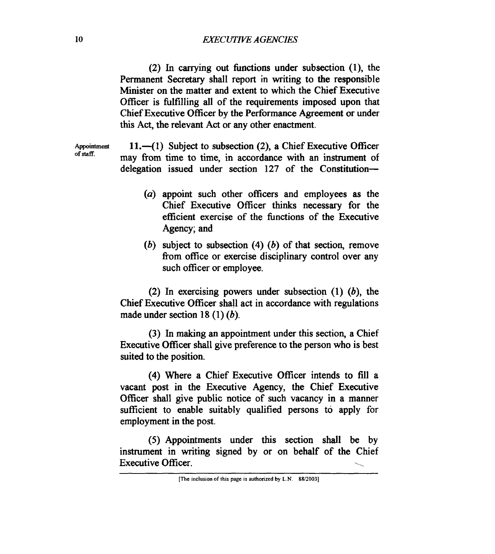#### **10** *lXECuTNE AGENClES*

(2) In carrying out hnctions under subsection **(l),** the Permanent *Secretary* shall report in writing to the responsible Minister on the matter and extent to which the Chief Executive Officer is fulfilling all of the requirements imposed upon that Chief Executive Officer by the Performance Agreement or under this Act, the relevant Act or any other enactment.

**of staff.** 

Appointment 11.-(1) Subject to subsection (2), a Chief Executive Officer may fiom time to time, in accordance with an instrument of delegation issued under section 127 of the Constitution-

- *(a)* appoint such other officers and employees **as** the Chief Executive Officer thinks necessary for the efficient exercise of the hnctions of the Executive Agency; and
- (b) subject to subsection **(4)** (b) of that section, remove from office or exercise disciplinary control over any such officer or employee.

(2) In exercising powers under subsection  $(1)$   $(b)$ , the Chief Executive Officer shall act in accordance with regulations made under section **18** (1) (b).

(3) In making **an** appointment under this section, a Chief Executive Oficer shall give preference to the person who is best suited to the position.

**(4)** Where a Chief Executive Officer intends to fill a vacant **post** in the Executive Agency, the Chief Executive Officer shall give public notice of such vacancy in a manner sufficient to enable suitably qualified persons to apply for employment in the post.

*(5)* Appointments under this section shall be by (3) Appointments under this section shart be by<br>instrument in writing signed by or on behalf of the Chief<br>Executive Officer.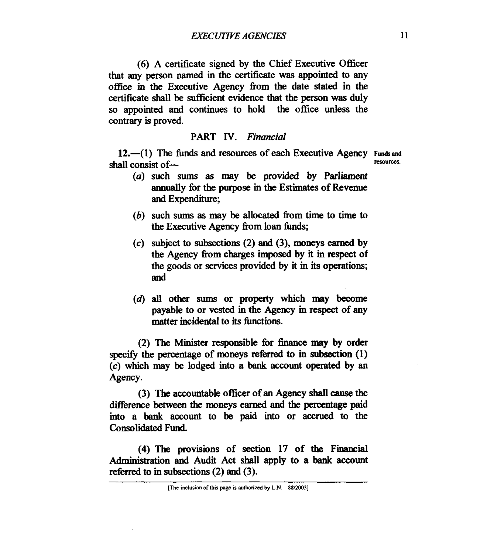(6) A certificate signed by the Chief Executive Officer that any person named in the certificate was appointed to any office in *the* Executive Agency **fiom** the date stated **in** the certificate shall be sufficient evidence that the person was duly *so* appointed and continues to hold the office unless the contrary is proved.

## *PART* **IV.** *Financial*

**12.**—(1) The funds and resources of each Executive Agency **Funds** and shall consist of-

- 
- *(a)* such **sums as** may be provided by Parliament annually fbr **the** purpose **in the** Estimates of Revenue and Expenditure;
- (b) such **sums as** may be allocated **fiom** time to time to the Executive Agency **fiom** loan hnds;
- *(c)* subject to subsections (2) and **(3),** moneys *earned* by the Agency fiom charges *imposed* by it in respect of the goods or services provided by it in its operations; and
- **(d) all** other sums or property which may become payable to or vested in the Agency **in** respect of any matter incidental **to its** functions.

(2) The Minister responsible for finance may by order specify the percentage of moneys referred to in subsection (1) *(c)* which may be lodged into a bank account operated by **an**  Agency.

(3) The accountable officer of an Agency **shall cause** the difference **between** the moneys *earned* and the **percentage** paid into a bank account to be paid into or **accrued** to the Consolidated Fund.

**(4)** The provisions of section **17** of **the** Financial Administration and Audit Act shall apply to a bank account referred to in subsections (2) and (3).

**<sup>[</sup>The inclusion of this page is authorized by L.N. 88/2003]**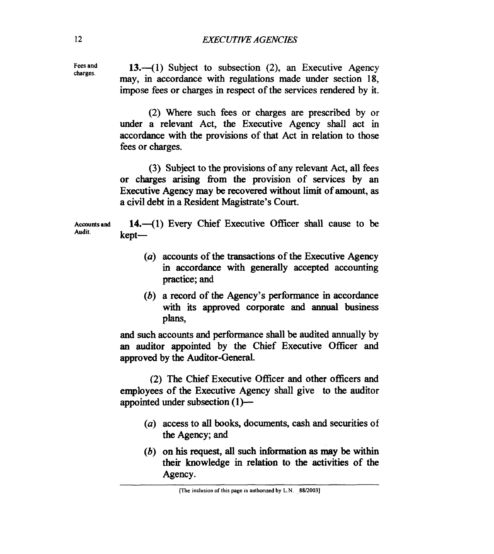**Fees and** 

Fees and 13.-(1) Subject to subsection (2), an Executive Agency may, in accordance with regulations made under section **18,**  impose fees or charges in respect of the services rendered by it.

> (2) Where such fees or charges are prescribed by or under a relevant Act, the Executive Agency shall act **in**  accordance with the provisions of that Act in relation to those fees or charges.

> (3) Subject to the provisions of any relevant Act, all fees or charges arising **fiom** the provision of services by **an**  Executive Agency may be recovered without limit of amount, **as**  a civil debt in a Resident Magistrate's Court.

Accounts and **14.** -- (1) Every Chief Executive Officer shall cause to be Audit. kept-

- *(a)* accounts of the transactions of the Executive Agency in accordance with generally accepted accounting practice; and
- (b) a record of **the** Agency's performance in accordance with its approved corporate and **annual** business plans.

and such accounts and performance shall be audited annually by **an** auditor appointed by **the** Chief Executive Officer and approved by the Auditor-General.

(2) The Chief Executive Officer and other officers and employees of the Executive Agency shall give to the auditor appointed under subsection (1)-

- *(a)* access to all **books,** documents, cash and securities of the Agency; and
- (b) on **his** request, all such information **as may** be within their knowledge in relation to the activities of the Agency.

**<sup>(</sup>The inclusion of this page is authorized by L.N. 88/2003)**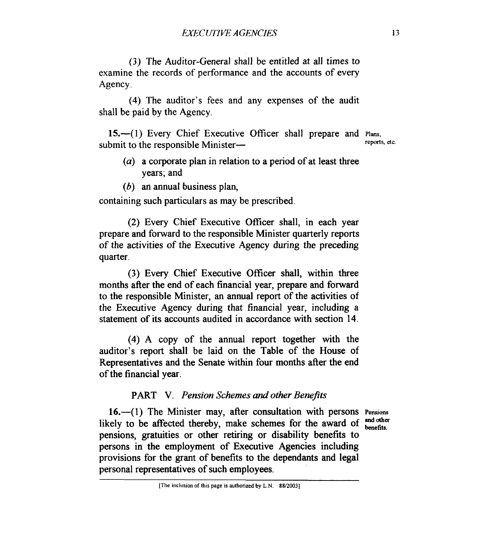(3) The Auditor-General shall be entitled at all times to examine the records of performance and the accounts of every Agency.

**(4)** The auditor's fees and any expenses of the audit shall be paid by the Agency.

**15.**—(1) Every Chief Executive Officer shall prepare and **Plans**, reports, etc. submit to the responsible Minister-

- (a) a corporate plan in relation to a period of at least three years; and
- $(b)$  an annual business plan,

containing such particulars as may be prescribed.

(2) Every Chief Executive Oficer shall, in each year prepare and forward to the responsible Minister quarterly reports of the activities of the Executive Agency during the preceding quarter.

(3) Every Chief Executive Officer shall, within three months after the end of each financial year, prepare and forward to the responsible Minister, an annual report of the activities of the Executive Agency during that financial year, including a statement of its accounts audited in accordance with section **14.** 

**(4)** A copy of the annual report together with the auditor's report shall be laid on the Table of the House of Representatives and the Senate within four months after the end of the financial year.

## *PART* **V.** *Pension Schemes and other Benefits*

**16.-( 1)** The Minister may, after consultation with persons **Pensions**  likely to be affected thereby, make schemes for the award of <sup>and other</sup> pensions, gratuities or other retiring or disability benefits to persons in the employment of Executive Agencies including provisions for the grant of benefits to the dependants and legal personal representatives of such employees.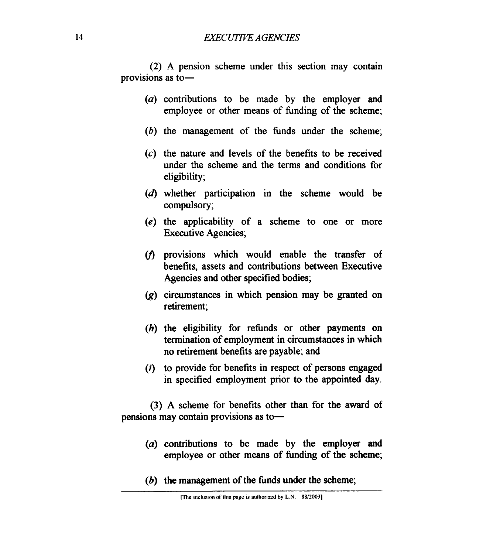# **14** *EXECUTNE AGENCIES*

(2) A pension scheme under this section may contain provisions as to-

- (a) contributions to be made by the employer and employee or other means of funding of the scheme;
- $(b)$  the management of the funds under the scheme;
- **(c)** the nature and levels of the benefits to be received under the scheme and the terms and conditions for eligibility;
- **(d)** whether participation in the scheme would be compulsory;
- **(e)** the applicability of a scheme to one or more Executive Agencies;
- $(f)$  provisions which would enable the transfer of benefits, assets and contributions between Executive Agencies and other specified bodies;
- (g) circumstances in which pension may be granted on retirement;
- (h) the eligibility for refunds or other payments on termination of employment in circumstances in which no retirement benefits are payable; and
- *(i)* to provide for benefits in respect of persons engaged in specified employment prior to the appointed day.

(3) A scheme for benefits other than for the award of pensions may contain provisions as to-

- (a) contributions to be made by the employer and employee or other means of funding of the scheme;
- $(b)$  the management of the funds under the scheme;

**<sup>(</sup>The inclusion of this page is authorized by L.N. 88/2003)**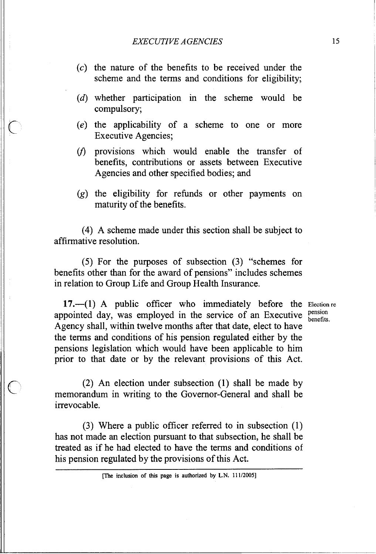- $\alpha$  the nature of the benefits to be received under the scheme and the terms and conditions for eligibility;
- (d) whether participation in the scheme would be compulsory;
- $(e)$  the applicability of a scheme to one or more Executive Agencies;
- $(f)$  provisions which would enable the transfer of benefits, contributions or assets between Executive Agencies and other specified bodies; and
- $(g)$  the eligibility for refunds or other payments on maturity of the benefits.

(4) A scheme made under this section shall be subject to affirmative resolution.

(5) For the purposes of subsection (3) "schemes for benefits other than for the award of pensions" includes schemes in relation to Group Life and Group Health Insurance.

17.—(1) A public officer who immediately before the Election re appointed day, was employed in the service of an Executive **pension** Agency shall, within twelve months after that date, elect to have the terms and conditions of his pension regulated either by the pensions legislation which would have been applicable to him prior to that date or by the relevant provisions of this Act.

(2) An election under subsection (1) shall be made by memorandum in writing to the Governor-General and shall be irrevocable.

(3) Where a public officer referred to in subsection (1) has not made an election pursuant to that subsection, he shall be treated as if he had elected to have the terms and conditions of his pension regulated by the provisions of this Act.

benefits.

**Fermion of this page is authorized by L.N. 111/2005]**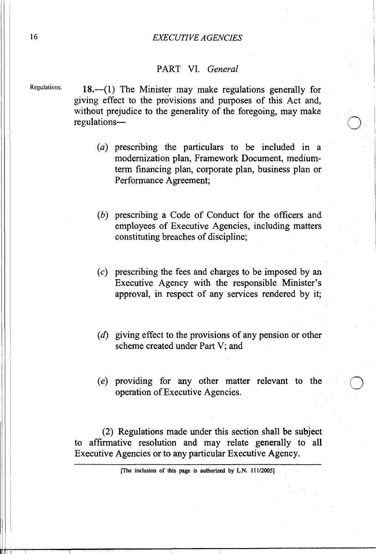## *EXECUTIVE AGENCIES*

# PART VI. *General*

**Regulations.** 

 $18.$ — $(1)$  The Minister may make regulations generally for giving effect to the provisions and purposes of this Act and, without prejudice to the generality of the foregoing, may make regulations-

- $(a)$  prescribing the particulars to be included in a modernization plan, Framework Document, mediumterm financing plan, corporate plan, business plan or Performance Agreement;
- $(b)$  prescribing a Code of Conduct for the officers and employees of Executive Agencies, including matters constituting breaches of discipline;
- $(c)$  prescribing the fees and charges to be imposed by an Executive Agency with the responsible Minister's approval, in respect of any services rendered by it;
- (d) giving effect to the provisions of any pension or other scheme created under Part V; and
- providing for any other matter relevant to the operation of Executive Agencies.

(2) Regulations made under this section shall be subject to affirmative resolution and may relate generally to all Executive Agencies or to any particular Executive Agency.

16

**<sup>(</sup>The inclusion of this page is authorized by L.N. 11 1/2005]**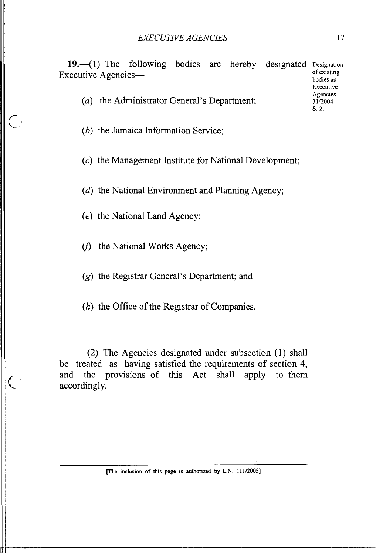19.-(1) The following bodies are hereby designated **Designation**<br>
<u>constitute</u> acquaintient **A** constitution of existing Executive Agencies**bodies as** 

*(a)* the Administrator General's Department;

(b) the Jamaica Information Service;

(c) the Management Institute for National Development;

 $(d)$  the National Environment and Planning Agency;

(e) the National Land Agency;

( $f$ ) the National Works Agency;

*(g)* the Registrar General's Department; and

*(h)* the Office of the Registrar of Companies.

(2) The Agencies designated under subsection **(I)** shall be treated as having satisfied the requirements of section 4, and the provisions of this Act shall apply to them accordingly.

**[The inclusion of this page is authorized by L.N. 111/2005]** 

**Executive Agencies.** 

S. 2.